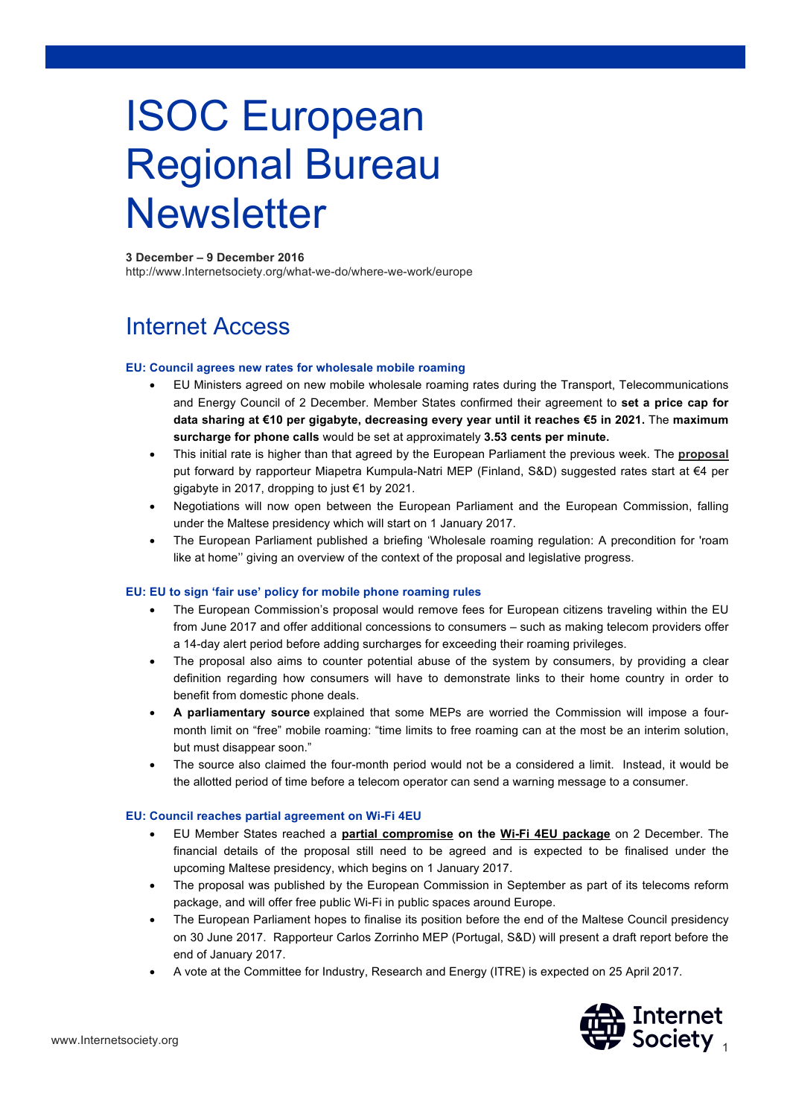# ISOC European Regional Bureau **Newsletter**

#### **3 December – 9 December 2016**

http://www.Internetsociety.org/what-we-do/where-we-work/europe

### Internet Access

#### **EU: Council agrees new rates for wholesale mobile roaming**

- EU Ministers agreed on new mobile wholesale roaming rates during the Transport, Telecommunications and Energy Council of 2 December. Member States confirmed their agreement to **set a price cap for data sharing at €10 per gigabyte, decreasing every year until it reaches €5 in 2021.** The **maximum surcharge for phone calls** would be set at approximately **3.53 cents per minute.**
- This initial rate is higher than that agreed by the European Parliament the previous week. The **proposal** put forward by rapporteur Miapetra Kumpula-Natri MEP (Finland, S&D) suggested rates start at €4 per gigabyte in 2017, dropping to just €1 by 2021.
- Negotiations will now open between the European Parliament and the European Commission, falling under the Maltese presidency which will start on 1 January 2017.
- The European Parliament published a briefing 'Wholesale roaming regulation: A precondition for 'roam like at home'' giving an overview of the context of the proposal and legislative progress.

#### **EU: EU to sign 'fair use' policy for mobile phone roaming rules**

- The European Commission's proposal would remove fees for European citizens traveling within the EU from June 2017 and offer additional concessions to consumers – such as making telecom providers offer a 14-day alert period before adding surcharges for exceeding their roaming privileges.
- The proposal also aims to counter potential abuse of the system by consumers, by providing a clear definition regarding how consumers will have to demonstrate links to their home country in order to benefit from domestic phone deals.
- **A parliamentary source** explained that some MEPs are worried the Commission will impose a fourmonth limit on "free" mobile roaming: "time limits to free roaming can at the most be an interim solution, but must disappear soon."
- The source also claimed the four-month period would not be a considered a limit. Instead, it would be the allotted period of time before a telecom operator can send a warning message to a consumer.

#### **EU: Council reaches partial agreement on Wi-Fi 4EU**

- EU Member States reached a **partial compromise on the Wi-Fi 4EU package** on 2 December. The financial details of the proposal still need to be agreed and is expected to be finalised under the upcoming Maltese presidency, which begins on 1 January 2017.
- The proposal was published by the European Commission in September as part of its telecoms reform package, and will offer free public Wi-Fi in public spaces around Europe.
- The European Parliament hopes to finalise its position before the end of the Maltese Council presidency on 30 June 2017. Rapporteur Carlos Zorrinho MEP (Portugal, S&D) will present a draft report before the end of January 2017.
- A vote at the Committee for Industry, Research and Energy (ITRE) is expected on 25 April 2017.

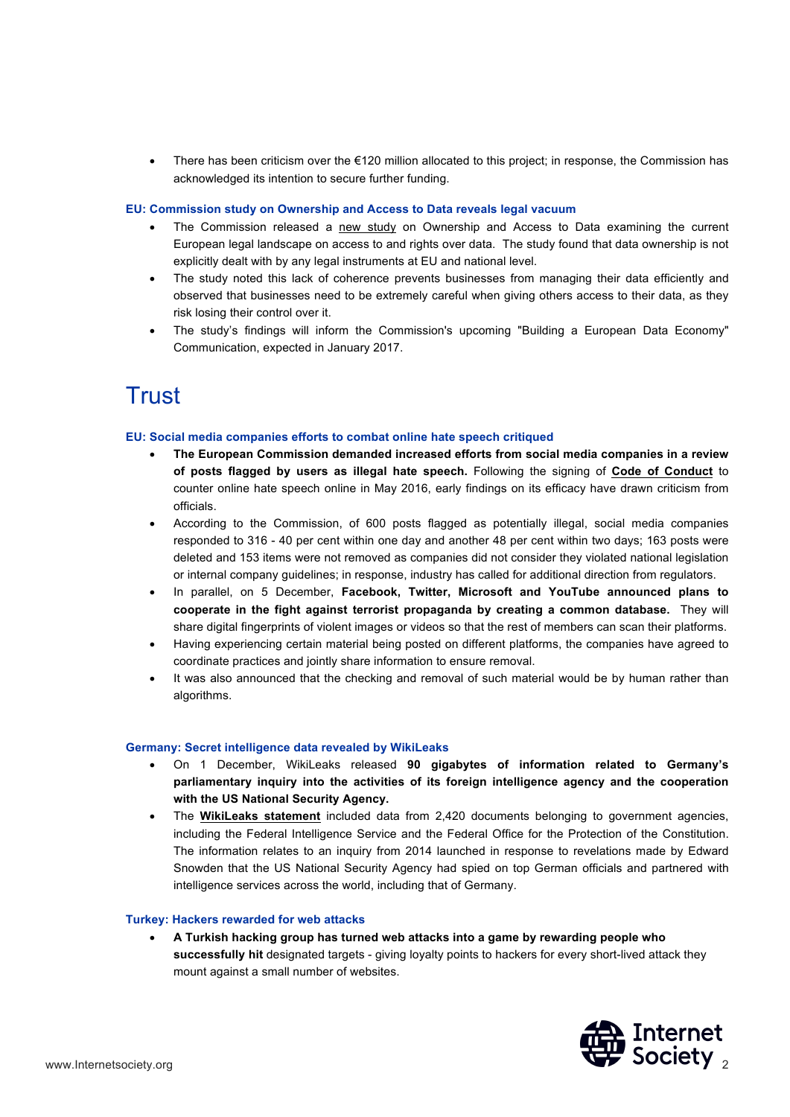• There has been criticism over the €120 million allocated to this project; in response, the Commission has acknowledged its intention to secure further funding.

#### **EU: Commission study on Ownership and Access to Data reveals legal vacuum**

- The Commission released a new study on Ownership and Access to Data examining the current European legal landscape on access to and rights over data. The study found that data ownership is not explicitly dealt with by any legal instruments at EU and national level.
- The study noted this lack of coherence prevents businesses from managing their data efficiently and observed that businesses need to be extremely careful when giving others access to their data, as they risk losing their control over it.
- The study's findings will inform the Commission's upcoming "Building a European Data Economy" Communication, expected in January 2017.

## **Trust**

#### **EU: Social media companies efforts to combat online hate speech critiqued**

- **The European Commission demanded increased efforts from social media companies in a review of posts flagged by users as illegal hate speech.** Following the signing of **Code of Conduct** to counter online hate speech online in May 2016, early findings on its efficacy have drawn criticism from officials.
- According to the Commission, of 600 posts flagged as potentially illegal, social media companies responded to 316 - 40 per cent within one day and another 48 per cent within two days; 163 posts were deleted and 153 items were not removed as companies did not consider they violated national legislation or internal company guidelines; in response, industry has called for additional direction from regulators.
- In parallel, on 5 December, **Facebook, Twitter, Microsoft and YouTube announced plans to cooperate in the fight against terrorist propaganda by creating a common database.** They will share digital fingerprints of violent images or videos so that the rest of members can scan their platforms.
- Having experiencing certain material being posted on different platforms, the companies have agreed to coordinate practices and jointly share information to ensure removal.
- It was also announced that the checking and removal of such material would be by human rather than algorithms.

#### **Germany: Secret intelligence data revealed by WikiLeaks**

- On 1 December, WikiLeaks released **90 gigabytes of information related to Germany's parliamentary inquiry into the activities of its foreign intelligence agency and the cooperation with the US National Security Agency.**
- The **WikiLeaks statement** included data from 2,420 documents belonging to government agencies, including the Federal Intelligence Service and the Federal Office for the Protection of the Constitution. The information relates to an inquiry from 2014 launched in response to revelations made by Edward Snowden that the US National Security Agency had spied on top German officials and partnered with intelligence services across the world, including that of Germany.

#### **Turkey: Hackers rewarded for web attacks**

• **A Turkish hacking group has turned web attacks into a game by rewarding people who successfully hit** designated targets - giving loyalty points to hackers for every short-lived attack they mount against a small number of websites.